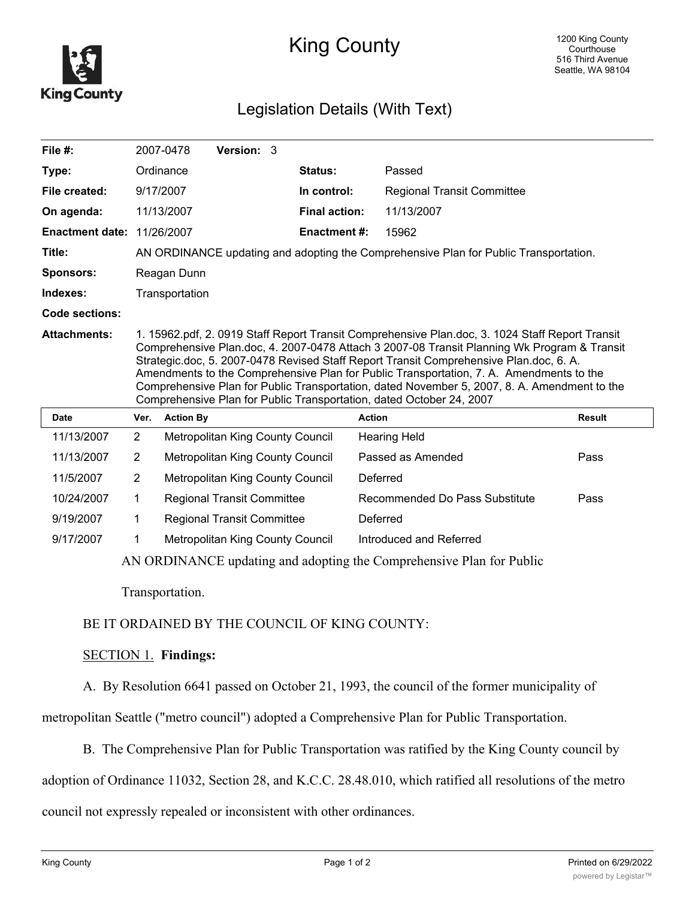

# King County

## Legislation Details (With Text)

| File $#$ :                        | 2007-0478                                                                                                                                                                                                                                                                                                                                                                                                                                                                                                                                                   |                                                                                      | <b>Version: 3</b>                |  |                      |                                   |               |  |  |  |  |  |
|-----------------------------------|-------------------------------------------------------------------------------------------------------------------------------------------------------------------------------------------------------------------------------------------------------------------------------------------------------------------------------------------------------------------------------------------------------------------------------------------------------------------------------------------------------------------------------------------------------------|--------------------------------------------------------------------------------------|----------------------------------|--|----------------------|-----------------------------------|---------------|--|--|--|--|--|
| Type:                             | Ordinance                                                                                                                                                                                                                                                                                                                                                                                                                                                                                                                                                   |                                                                                      |                                  |  | Status:              | Passed                            |               |  |  |  |  |  |
| File created:                     | 9/17/2007                                                                                                                                                                                                                                                                                                                                                                                                                                                                                                                                                   |                                                                                      |                                  |  | In control:          | <b>Regional Transit Committee</b> |               |  |  |  |  |  |
| On agenda:                        |                                                                                                                                                                                                                                                                                                                                                                                                                                                                                                                                                             | 11/13/2007                                                                           |                                  |  | <b>Final action:</b> | 11/13/2007                        |               |  |  |  |  |  |
| <b>Enactment date: 11/26/2007</b> |                                                                                                                                                                                                                                                                                                                                                                                                                                                                                                                                                             |                                                                                      |                                  |  | <b>Enactment #:</b>  | 15962                             |               |  |  |  |  |  |
| Title:                            |                                                                                                                                                                                                                                                                                                                                                                                                                                                                                                                                                             | AN ORDINANCE updating and adopting the Comprehensive Plan for Public Transportation. |                                  |  |                      |                                   |               |  |  |  |  |  |
| <b>Sponsors:</b>                  |                                                                                                                                                                                                                                                                                                                                                                                                                                                                                                                                                             | Reagan Dunn                                                                          |                                  |  |                      |                                   |               |  |  |  |  |  |
| Indexes:                          |                                                                                                                                                                                                                                                                                                                                                                                                                                                                                                                                                             | Transportation                                                                       |                                  |  |                      |                                   |               |  |  |  |  |  |
| Code sections:                    |                                                                                                                                                                                                                                                                                                                                                                                                                                                                                                                                                             |                                                                                      |                                  |  |                      |                                   |               |  |  |  |  |  |
| <b>Attachments:</b>               | 1. 15962.pdf, 2. 0919 Staff Report Transit Comprehensive Plan.doc, 3. 1024 Staff Report Transit<br>Comprehensive Plan.doc, 4. 2007-0478 Attach 3 2007-08 Transit Planning Wk Program & Transit<br>Strategic.doc, 5. 2007-0478 Revised Staff Report Transit Comprehensive Plan.doc, 6. A.<br>Amendments to the Comprehensive Plan for Public Transportation, 7. A. Amendments to the<br>Comprehensive Plan for Public Transportation, dated November 5, 2007, 8. A. Amendment to the<br>Comprehensive Plan for Public Transportation, dated October 24, 2007 |                                                                                      |                                  |  |                      |                                   |               |  |  |  |  |  |
| <b>Date</b>                       | Ver.                                                                                                                                                                                                                                                                                                                                                                                                                                                                                                                                                        | <b>Action By</b>                                                                     |                                  |  | <b>Action</b>        |                                   | <b>Result</b> |  |  |  |  |  |
| 11/12/2007                        | C.                                                                                                                                                                                                                                                                                                                                                                                                                                                                                                                                                          |                                                                                      | Motropolitan King County Council |  |                      | Hooring Hold                      |               |  |  |  |  |  |

| Dalt       | VUI. | <b>ACUOLDY</b>                    | Auuun                          | nesun |
|------------|------|-----------------------------------|--------------------------------|-------|
| 11/13/2007 | 2    | Metropolitan King County Council  | <b>Hearing Held</b>            |       |
| 11/13/2007 | 2    | Metropolitan King County Council  | Passed as Amended              | Pass  |
| 11/5/2007  | 2    | Metropolitan King County Council  | Deferred                       |       |
| 10/24/2007 |      | <b>Regional Transit Committee</b> | Recommended Do Pass Substitute | Pass  |
| 9/19/2007  |      | <b>Regional Transit Committee</b> | Deferred                       |       |
| 9/17/2007  |      | Metropolitan King County Council  | Introduced and Referred        |       |
|            |      |                                   |                                |       |

AN ORDINANCE updating and adopting the Comprehensive Plan for Public

Transportation.

### BE IT ORDAINED BY THE COUNCIL OF KING COUNTY:

#### SECTION 1. **Findings:**

A. By Resolution 6641 passed on October 21, 1993, the council of the former municipality of

metropolitan Seattle ("metro council") adopted a Comprehensive Plan for Public Transportation.

B. The Comprehensive Plan for Public Transportation was ratified by the King County council by

adoption of Ordinance 11032, Section 28, and K.C.C. 28.48.010, which ratified all resolutions of the metro

council not expressly repealed or inconsistent with other ordinances.